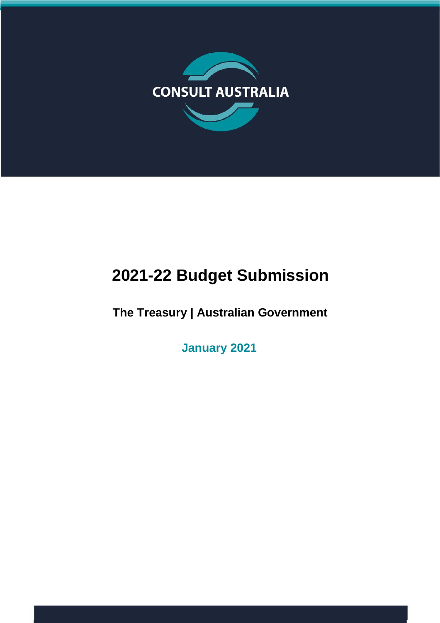

# **2021-22 Budget Submission**

**The Treasury | Australian Government**

**January 2021**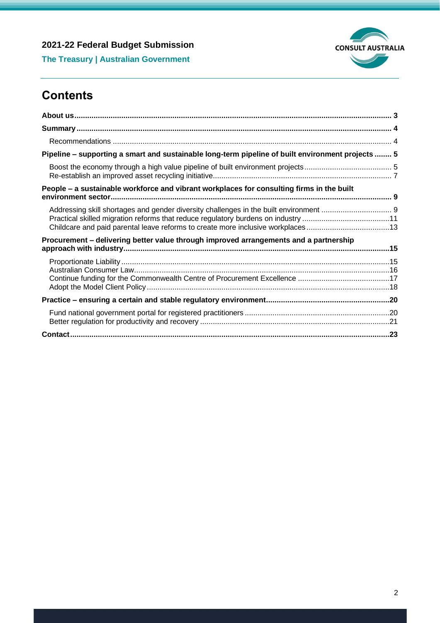

**The Treasury | Australian Government**

# **Contents**

| Pipeline - supporting a smart and sustainable long-term pipeline of built environment projects  5                                                                    |  |
|----------------------------------------------------------------------------------------------------------------------------------------------------------------------|--|
|                                                                                                                                                                      |  |
| People – a sustainable workforce and vibrant workplaces for consulting firms in the built                                                                            |  |
| Practical skilled migration reforms that reduce regulatory burdens on industry 11<br>Childcare and paid parental leave reforms to create more inclusive workplaces13 |  |
| Procurement - delivering better value through improved arrangements and a partnership                                                                                |  |
|                                                                                                                                                                      |  |
|                                                                                                                                                                      |  |
|                                                                                                                                                                      |  |
|                                                                                                                                                                      |  |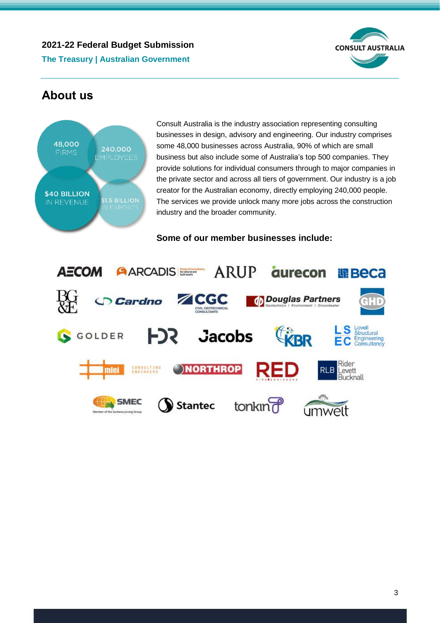

**The Treasury | Australian Government**

# <span id="page-2-0"></span>**About us**



Consult Australia is the industry association representing consulting businesses in design, advisory and engineering. Our industry comprises some 48,000 businesses across Australia, 90% of which are small business but also include some of Australia's top 500 companies. They provide solutions for individual consumers through to major companies in the private sector and across all tiers of government. Our industry is a job creator for the Australian economy, directly employing 240,000 people. The services we provide unlock many more jobs across the construction industry and the broader community.

**Some of our member businesses include:**

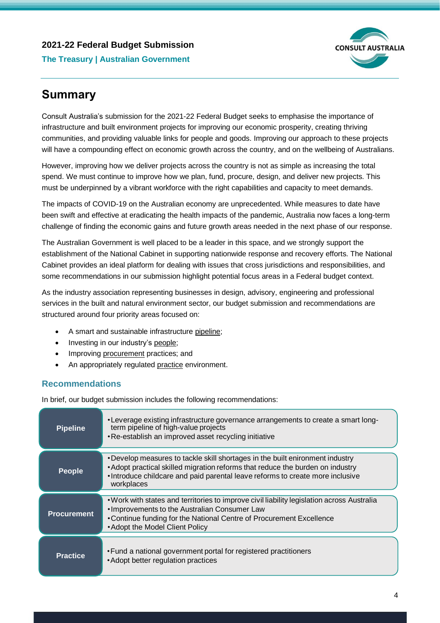# **2021-22 Federal Budget Submission The Treasury | Australian Government**



# <span id="page-3-0"></span>**Summary**

Consult Australia's submission for the 2021-22 Federal Budget seeks to emphasise the importance of infrastructure and built environment projects for improving our economic prosperity, creating thriving communities, and providing valuable links for people and goods. Improving our approach to these projects will have a compounding effect on economic growth across the country, and on the wellbeing of Australians.

However, improving how we deliver projects across the country is not as simple as increasing the total spend. We must continue to improve how we plan, fund, procure, design, and deliver new projects. This must be underpinned by a vibrant workforce with the right capabilities and capacity to meet demands.

The impacts of COVID-19 on the Australian economy are unprecedented. While measures to date have been swift and effective at eradicating the health impacts of the pandemic, Australia now faces a long-term challenge of finding the economic gains and future growth areas needed in the next phase of our response.

The Australian Government is well placed to be a leader in this space, and we strongly support the establishment of the National Cabinet in supporting nationwide response and recovery efforts. The National Cabinet provides an ideal platform for dealing with issues that cross jurisdictions and responsibilities, and some recommendations in our submission highlight potential focus areas in a Federal budget context.

As the industry association representing businesses in design, advisory, engineering and professional services in the built and natural environment sector, our budget submission and recommendations are structured around four priority areas focused on:

- A smart and sustainable infrastructure pipeline;
- Investing in our industry's people;
- Improving procurement practices; and
- An appropriately regulated practice environment.

# <span id="page-3-1"></span>**Recommendations**

In brief, our budget submission includes the following recommendations:

| <b>Pipeline</b>    | •Leverage existing infrastructure governance arrangements to create a smart long-<br>term pipeline of high-value projects<br>. Re-establish an improved asset recycling initiative                                                                              |
|--------------------|-----------------------------------------------------------------------------------------------------------------------------------------------------------------------------------------------------------------------------------------------------------------|
| <b>People</b>      | . Develop measures to tackle skill shortages in the built enironment industry<br>• Adopt practical skilled migration reforms that reduce the burden on industry<br>. Introduce childcare and paid parental leave reforms to create more inclusive<br>workplaces |
| <b>Procurement</b> | • Work with states and territories to improve civil liability legislation across Australia<br>. Improvements to the Australian Consumer Law<br>• Continue funding for the National Centre of Procurement Excellence<br>• Adopt the Model Client Policy          |
| <b>Practice</b>    | • Fund a national government portal for registered practitioners<br>• Adopt better regulation practices                                                                                                                                                         |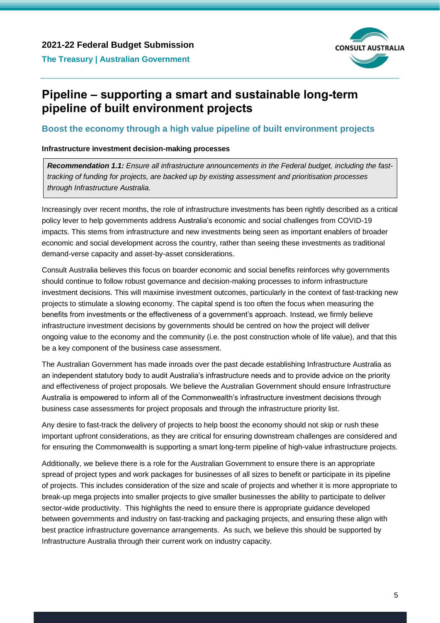

# <span id="page-4-0"></span>**Pipeline – supporting a smart and sustainable long-term pipeline of built environment projects**

#### <span id="page-4-1"></span>**Boost the economy through a high value pipeline of built environment projects**

#### **Infrastructure investment decision-making processes**

*Recommendation 1.1: Ensure all infrastructure announcements in the Federal budget, including the fasttracking of funding for projects, are backed up by existing assessment and prioritisation processes through Infrastructure Australia.*

Increasingly over recent months, the role of infrastructure investments has been rightly described as a critical policy lever to help governments address Australia's economic and social challenges from COVID-19 impacts. This stems from infrastructure and new investments being seen as important enablers of broader economic and social development across the country, rather than seeing these investments as traditional demand-verse capacity and asset-by-asset considerations.

Consult Australia believes this focus on boarder economic and social benefits reinforces why governments should continue to follow robust governance and decision-making processes to inform infrastructure investment decisions. This will maximise investment outcomes, particularly in the context of fast-tracking new projects to stimulate a slowing economy. The capital spend is too often the focus when measuring the benefits from investments or the effectiveness of a government's approach. Instead, we firmly believe infrastructure investment decisions by governments should be centred on how the project will deliver ongoing value to the economy and the community (i.e. the post construction whole of life value), and that this be a key component of the business case assessment.

The Australian Government has made inroads over the past decade establishing Infrastructure Australia as an independent statutory body to audit Australia's infrastructure needs and to provide advice on the priority and effectiveness of project proposals. We believe the Australian Government should ensure Infrastructure Australia is empowered to inform all of the Commonwealth's infrastructure investment decisions through business case assessments for project proposals and through the infrastructure priority list.

Any desire to fast-track the delivery of projects to help boost the economy should not skip or rush these important upfront considerations, as they are critical for ensuring downstream challenges are considered and for ensuring the Commonwealth is supporting a smart long-term pipeline of high-value infrastructure projects.

Additionally, we believe there is a role for the Australian Government to ensure there is an appropriate spread of project types and work packages for businesses of all sizes to benefit or participate in its pipeline of projects. This includes consideration of the size and scale of projects and whether it is more appropriate to break-up mega projects into smaller projects to give smaller businesses the ability to participate to deliver sector-wide productivity. This highlights the need to ensure there is appropriate guidance developed between governments and industry on fast-tracking and packaging projects, and ensuring these align with best practice infrastructure governance arrangements. As such, we believe this should be supported by Infrastructure Australia through their current work on industry capacity.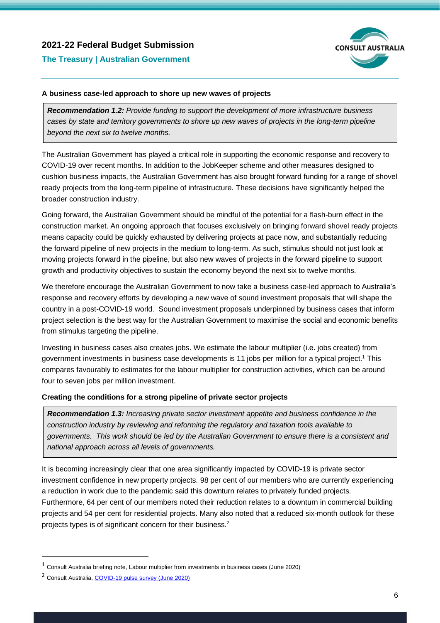

#### **The Treasury | Australian Government**

#### **A business case-led approach to shore up new waves of projects**

*Recommendation 1.2: Provide funding to support the development of more infrastructure business cases by state and territory governments to shore up new waves of projects in the long-term pipeline beyond the next six to twelve months.*

The Australian Government has played a critical role in supporting the economic response and recovery to COVID-19 over recent months. In addition to the JobKeeper scheme and other measures designed to cushion business impacts, the Australian Government has also brought forward funding for a range of shovel ready projects from the long-term pipeline of infrastructure. These decisions have significantly helped the broader construction industry.

Going forward, the Australian Government should be mindful of the potential for a flash-burn effect in the construction market. An ongoing approach that focuses exclusively on bringing forward shovel ready projects means capacity could be quickly exhausted by delivering projects at pace now, and substantially reducing the forward pipeline of new projects in the medium to long-term. As such, stimulus should not just look at moving projects forward in the pipeline, but also new waves of projects in the forward pipeline to support growth and productivity objectives to sustain the economy beyond the next six to twelve months.

We therefore encourage the Australian Government to now take a business case-led approach to Australia's response and recovery efforts by developing a new wave of sound investment proposals that will shape the country in a post-COVID-19 world. Sound investment proposals underpinned by business cases that inform project selection is the best way for the Australian Government to maximise the social and economic benefits from stimulus targeting the pipeline.

Investing in business cases also creates jobs. We estimate the labour multiplier (i.e. jobs created) from government investments in business case developments is 11 jobs per million for a typical project.<sup>1</sup> This compares favourably to estimates for the labour multiplier for construction activities, which can be around four to seven jobs per million investment.

#### **Creating the conditions for a strong pipeline of private sector projects**

*Recommendation 1.3: Increasing private sector investment appetite and business confidence in the construction industry by reviewing and reforming the regulatory and taxation tools available to governments. This work should be led by the Australian Government to ensure there is a consistent and national approach across all levels of governments.*

It is becoming increasingly clear that one area significantly impacted by COVID-19 is private sector investment confidence in new property projects. 98 per cent of our members who are currently experiencing a reduction in work due to the pandemic said this downturn relates to privately funded projects. Furthermore, 64 per cent of our members noted their reduction relates to a downturn in commercial building projects and 54 per cent for residential projects. Many also noted that a reduced six-month outlook for these projects types is of significant concern for their business.<sup>2</sup>

<sup>1</sup> Consult Australia briefing note, Labour multiplier from investments in business cases (June 2020)

<sup>2</sup> Consult Australia, [COVID-19 pulse survey \(June 2020\)](https://www.consultaustralia.com.au/docs/default-source/policy/consult-australia-report---covid-19-pulse-survey-resultsE42E2AE6D553.pdf?sfvrsn=0)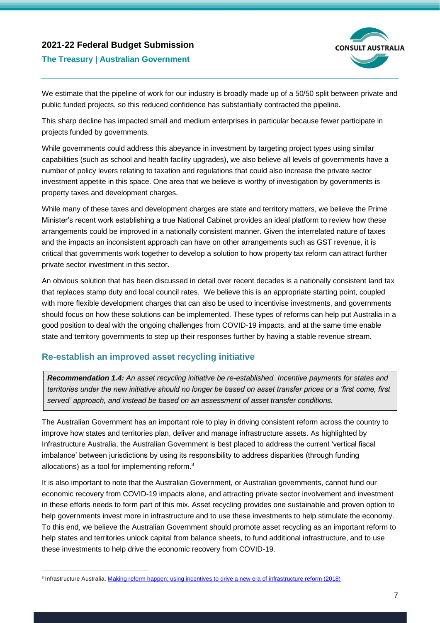

#### **The Treasury | Australian Government**

We estimate that the pipeline of work for our industry is broadly made up of a 50/50 split between private and public funded projects, so this reduced confidence has substantially contracted the pipeline.

This sharp decline has impacted small and medium enterprises in particular because fewer participate in projects funded by governments.

While governments could address this abeyance in investment by targeting project types using similar capabilities (such as school and health facility upgrades), we also believe all levels of governments have a number of policy levers relating to taxation and regulations that could also increase the private sector investment appetite in this space. One area that we believe is worthy of investigation by governments is property taxes and development charges.

While many of these taxes and development charges are state and territory matters, we believe the Prime Minister's recent work establishing a true National Cabinet provides an ideal platform to review how these arrangements could be improved in a nationally consistent manner. Given the interrelated nature of taxes and the impacts an inconsistent approach can have on other arrangements such as GST revenue, it is critical that governments work together to develop a solution to how property tax reform can attract further private sector investment in this sector.

An obvious solution that has been discussed in detail over recent decades is a nationally consistent land tax that replaces stamp duty and local council rates. We believe this is an appropriate starting point, coupled with more flexible development charges that can also be used to incentivise investments, and governments should focus on how these solutions can be implemented. These types of reforms can help put Australia in a good position to deal with the ongoing challenges from COVID-19 impacts, and at the same time enable state and territory governments to step up their responses further by having a stable revenue stream.

### <span id="page-6-0"></span>**Re-establish an improved asset recycling initiative**

*Recommendation 1.4: An asset recycling initiative be re-established. Incentive payments for states and territories under the new initiative should no longer be based on asset transfer prices or a 'first come, first served' approach, and instead be based on an assessment of asset transfer conditions.*

The Australian Government has an important role to play in driving consistent reform across the country to improve how states and territories plan, deliver and manage infrastructure assets. As highlighted by Infrastructure Australia, the Australian Government is best placed to address the current 'vertical fiscal imbalance' between jurisdictions by using its responsibility to address disparities (through funding allocations) as a tool for implementing reform.<sup>3</sup>

It is also important to note that the Australian Government, or Australian governments, cannot fund our economic recovery from COVID-19 impacts alone, and attracting private sector involvement and investment in these efforts needs to form part of this mix. Asset recycling provides one sustainable and proven option to help governments invest more in infrastructure and to use these investments to help stimulate the economy. To this end, we believe the Australian Government should promote asset recycling as an important reform to help states and territories unlock capital from balance sheets, to fund additional infrastructure, and to use these investments to help drive the economic recovery from COVID-19.

<sup>&</sup>lt;sup>3</sup> Infrastructure Australia, [Making reform happen: using incentives to drive a new era of infrastructure reform \(2018\)](https://infrastructureaustralia.gov.au/policy-publications/publications/making-reform-happen.aspx)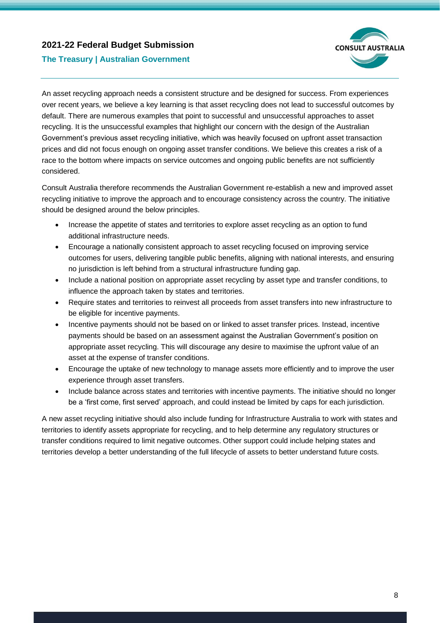

#### **The Treasury | Australian Government**

An asset recycling approach needs a consistent structure and be designed for success. From experiences over recent years, we believe a key learning is that asset recycling does not lead to successful outcomes by default. There are numerous examples that point to successful and unsuccessful approaches to asset recycling. It is the unsuccessful examples that highlight our concern with the design of the Australian Government's previous asset recycling initiative, which was heavily focused on upfront asset transaction prices and did not focus enough on ongoing asset transfer conditions. We believe this creates a risk of a race to the bottom where impacts on service outcomes and ongoing public benefits are not sufficiently considered.

Consult Australia therefore recommends the Australian Government re-establish a new and improved asset recycling initiative to improve the approach and to encourage consistency across the country. The initiative should be designed around the below principles.

- Increase the appetite of states and territories to explore asset recycling as an option to fund additional infrastructure needs.
- Encourage a nationally consistent approach to asset recycling focused on improving service outcomes for users, delivering tangible public benefits, aligning with national interests, and ensuring no jurisdiction is left behind from a structural infrastructure funding gap.
- Include a national position on appropriate asset recycling by asset type and transfer conditions, to influence the approach taken by states and territories.
- Require states and territories to reinvest all proceeds from asset transfers into new infrastructure to be eligible for incentive payments.
- Incentive payments should not be based on or linked to asset transfer prices. Instead, incentive payments should be based on an assessment against the Australian Government's position on appropriate asset recycling. This will discourage any desire to maximise the upfront value of an asset at the expense of transfer conditions.
- Encourage the uptake of new technology to manage assets more efficiently and to improve the user experience through asset transfers.
- Include balance across states and territories with incentive payments. The initiative should no longer be a 'first come, first served' approach, and could instead be limited by caps for each jurisdiction.

A new asset recycling initiative should also include funding for Infrastructure Australia to work with states and territories to identify assets appropriate for recycling, and to help determine any regulatory structures or transfer conditions required to limit negative outcomes. Other support could include helping states and territories develop a better understanding of the full lifecycle of assets to better understand future costs.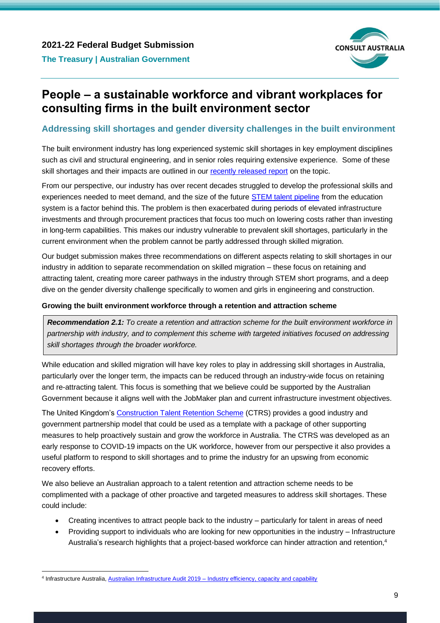

# <span id="page-8-0"></span>**People – a sustainable workforce and vibrant workplaces for consulting firms in the built environment sector**

#### <span id="page-8-1"></span>**Addressing skill shortages and gender diversity challenges in the built environment**

The built environment industry has long experienced systemic skill shortages in key employment disciplines such as civil and structural engineering, and in senior roles requiring extensive experience. Some of these skill shortages and their impacts are outlined in our [recently released report](https://www.consultaustralia.com.au/home/support-business/compare-and-benchmark/skills-survey) on the topic.

From our perspective, our industry has over recent decades struggled to develop the professional skills and experiences needed to meet demand, and the size of the future **STEM** talent pipeline from the education system is a factor behind this. The problem is then exacerbated during periods of elevated infrastructure investments and through procurement practices that focus too much on lowering costs rather than investing in long-term capabilities. This makes our industry vulnerable to prevalent skill shortages, particularly in the current environment when the problem cannot be partly addressed through skilled migration.

Our budget submission makes three recommendations on different aspects relating to skill shortages in our industry in addition to separate recommendation on skilled migration – these focus on retaining and attracting talent, creating more career pathways in the industry through STEM short programs, and a deep dive on the gender diversity challenge specifically to women and girls in engineering and construction.

#### **Growing the built environment workforce through a retention and attraction scheme**

*Recommendation 2.1: To create a retention and attraction scheme for the built environment workforce in partnership with industry, and to complement this scheme with targeted initiatives focused on addressing skill shortages through the broader workforce.*

While education and skilled migration will have key roles to play in addressing skill shortages in Australia, particularly over the longer term, the impacts can be reduced through an industry-wide focus on retaining and re-attracting talent. This focus is something that we believe could be supported by the Australian Government because it aligns well with the JobMaker plan and current infrastructure investment objectives.

The United Kingdom's [Construction Talent Retention Scheme](https://www.trs-system.co.uk/construction/for_employers) (CTRS) provides a good industry and government partnership model that could be used as a template with a package of other supporting measures to help proactively sustain and grow the workforce in Australia. The CTRS was developed as an early response to COVID-19 impacts on the UK workforce, however from our perspective it also provides a useful platform to respond to skill shortages and to prime the industry for an upswing from economic recovery efforts.

We also believe an Australian approach to a talent retention and attraction scheme needs to be complimented with a package of other proactive and targeted measures to address skill shortages. These could include:

- Creating incentives to attract people back to the industry particularly for talent in areas of need
- Providing support to individuals who are looking for new opportunities in the industry Infrastructure Australia's research highlights that a project-based workforce can hinder attraction and retention, 4

<sup>4</sup> Infrastructure Australia, Australian Infrastructure Audit 2019 – [Industry efficiency, capacity and capability](https://www.infrastructureaustralia.gov.au/sites/default/files/2019-08/industry_efficiency_capacity_and_capability_-_2019_australian_infrastructure_audit.pdf)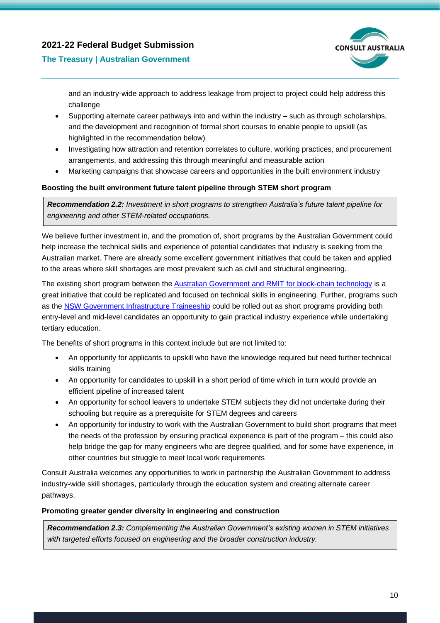

#### **The Treasury | Australian Government**

and an industry-wide approach to address leakage from project to project could help address this challenge

- Supporting alternate career pathways into and within the industry such as through scholarships, and the development and recognition of formal short courses to enable people to upskill (as highlighted in the recommendation below)
- Investigating how attraction and retention correlates to culture, working practices, and procurement arrangements, and addressing this through meaningful and measurable action
- Marketing campaigns that showcase careers and opportunities in the built environment industry

#### **Boosting the built environment future talent pipeline through STEM short program**

*Recommendation 2.2: Investment in short programs to strengthen Australia's future talent pipeline for engineering and other STEM-related occupations.*

We believe further investment in, and the promotion of, short programs by the Australian Government could help increase the technical skills and experience of potential candidates that industry is seeking from the Australian market. There are already some excellent government initiatives that could be taken and applied to the areas where skill shortages are most prevalent such as civil and structural engineering.

The existing short program between th[e Australian Government and RMIT for block-chain technology](https://www.industry.gov.au/data-and-publications/australias-tech-future/skills/what-is-the-government-doing-in-skills) is a great initiative that could be replicated and focused on technical skills in engineering. Further, programs such as th[e NSW Government Infrastructure Traineeship](https://education.nsw.gov.au/public-schools/career-and-study-pathways/infrastructure-traineeships) could be rolled out as short programs providing both entry-level and mid-level candidates an opportunity to gain practical industry experience while undertaking tertiary education.

The benefits of short programs in this context include but are not limited to:

- An opportunity for applicants to upskill who have the knowledge required but need further technical skills training
- An opportunity for candidates to upskill in a short period of time which in turn would provide an efficient pipeline of increased talent
- An opportunity for school leavers to undertake STEM subjects they did not undertake during their schooling but require as a prerequisite for STEM degrees and careers
- An opportunity for industry to work with the Australian Government to build short programs that meet the needs of the profession by ensuring practical experience is part of the program – this could also help bridge the gap for many engineers who are degree qualified, and for some have experience, in other countries but struggle to meet local work requirements

Consult Australia welcomes any opportunities to work in partnership the Australian Government to address industry-wide skill shortages, particularly through the education system and creating alternate career pathways.

#### **Promoting greater gender diversity in engineering and construction**

*Recommendation 2.3: Complementing the Australian Government's existing women in STEM initiatives with targeted efforts focused on engineering and the broader construction industry.*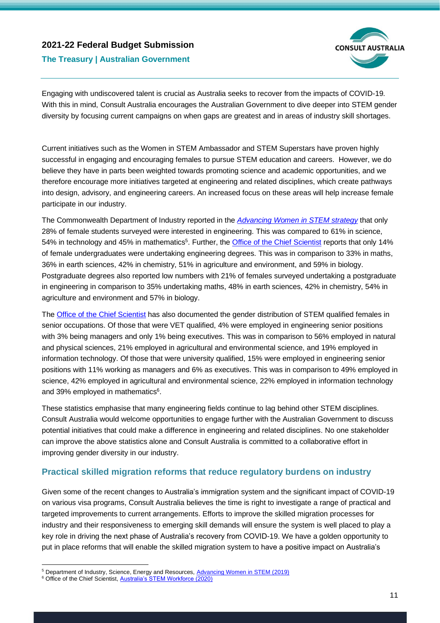

### **The Treasury | Australian Government**

Engaging with undiscovered talent is crucial as Australia seeks to recover from the impacts of COVID-19. With this in mind, Consult Australia encourages the Australian Government to dive deeper into STEM gender diversity by focusing current campaigns on when gaps are greatest and in areas of industry skill shortages.

Current initiatives such as the Women in STEM Ambassador and STEM Superstars have proven highly successful in engaging and encouraging females to pursue STEM education and careers. However, we do believe they have in parts been weighted towards promoting science and academic opportunities, and we therefore encourage more initiatives targeted at engineering and related disciplines, which create pathways into design, advisory, and engineering careers. An increased focus on these areas will help increase female participate in our industry.

The Commonwealth Department of Industry reported in the *[Advancing Women in STEM strategy](https://www.industry.gov.au/sites/default/files/March%202020/document/advancing-women-in-stem-strategy.pdf)* that only 28% of female students surveyed were interested in engineering. This was compared to 61% in science, 54% in technology and 45% in mathematics<sup>5</sup>. Further, the **Office of the Chief Scientist** reports that only 14% of female undergraduates were undertaking engineering degrees. This was in comparison to 33% in maths, 36% in earth sciences, 42% in chemistry, 51% in agriculture and environment, and 59% in biology. Postgraduate degrees also reported low numbers with 21% of females surveyed undertaking a postgraduate in engineering in comparison to 35% undertaking maths, 48% in earth sciences, 42% in chemistry, 54% in agriculture and environment and 57% in biology.

Th[e Office of the Chief Scientist](https://www.chiefscientist.gov.au/sites/default/files/2020-07/australias_stem_workforce_-_final.pdf) has also documented the gender distribution of STEM qualified females in senior occupations. Of those that were VET qualified, 4% were employed in engineering senior positions with 3% being managers and only 1% being executives. This was in comparison to 56% employed in natural and physical sciences, 21% employed in agricultural and environmental science, and 19% employed in information technology. Of those that were university qualified, 15% were employed in engineering senior positions with 11% working as managers and 6% as executives. This was in comparison to 49% employed in science, 42% employed in agricultural and environmental science, 22% employed in information technology and 39% employed in mathematics<sup>6</sup>.

These statistics emphasise that many engineering fields continue to lag behind other STEM disciplines. Consult Australia would welcome opportunities to engage further with the Australian Government to discuss potential initiatives that could make a difference in engineering and related disciplines. No one stakeholder can improve the above statistics alone and Consult Australia is committed to a collaborative effort in improving gender diversity in our industry.

### <span id="page-10-0"></span>**Practical skilled migration reforms that reduce regulatory burdens on industry**

Given some of the recent changes to Australia's immigration system and the significant impact of COVID-19 on various visa programs, Consult Australia believes the time is right to investigate a range of practical and targeted improvements to current arrangements. Efforts to improve the skilled migration processes for industry and their responsiveness to emerging skill demands will ensure the system is well placed to play a key role in driving the next phase of Australia's recovery from COVID-19. We have a golden opportunity to put in place reforms that will enable the skilled migration system to have a positive impact on Australia's

<sup>&</sup>lt;sup>5</sup> Department of Industry, Science, Energy and Resources, [Advancing Women in STEM](https://www.industry.gov.au/data-and-publications/advancing-women-in-stem-strategy) (2019)

<sup>&</sup>lt;sup>6</sup> Office of the Chief Scientist[, Australia's STEM Workforce \(2020\)](https://www.chiefscientist.gov.au/news-and-media/2020-australias-stem-workforce-report)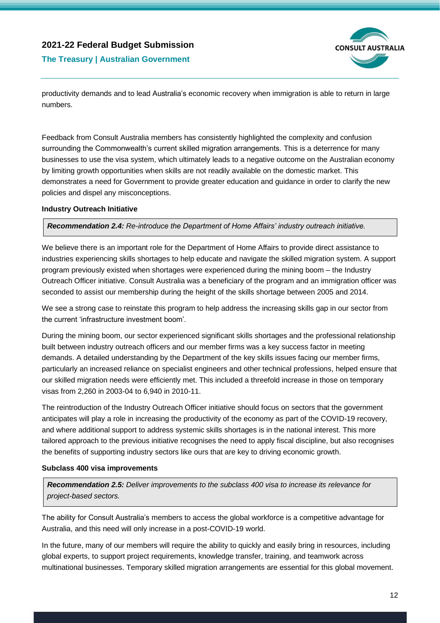

**The Treasury | Australian Government**

productivity demands and to lead Australia's economic recovery when immigration is able to return in large numbers.

Feedback from Consult Australia members has consistently highlighted the complexity and confusion surrounding the Commonwealth's current skilled migration arrangements. This is a deterrence for many businesses to use the visa system, which ultimately leads to a negative outcome on the Australian economy by limiting growth opportunities when skills are not readily available on the domestic market. This demonstrates a need for Government to provide greater education and guidance in order to clarify the new policies and dispel any misconceptions.

#### **Industry Outreach Initiative**

*Recommendation 2.4: Re-introduce the Department of Home Affairs' industry outreach initiative.*

We believe there is an important role for the Department of Home Affairs to provide direct assistance to industries experiencing skills shortages to help educate and navigate the skilled migration system. A support program previously existed when shortages were experienced during the mining boom – the Industry Outreach Officer initiative. Consult Australia was a beneficiary of the program and an immigration officer was seconded to assist our membership during the height of the skills shortage between 2005 and 2014.

We see a strong case to reinstate this program to help address the increasing skills gap in our sector from the current 'infrastructure investment boom'.

During the mining boom, our sector experienced significant skills shortages and the professional relationship built between industry outreach officers and our member firms was a key success factor in meeting demands. A detailed understanding by the Department of the key skills issues facing our member firms, particularly an increased reliance on specialist engineers and other technical professions, helped ensure that our skilled migration needs were efficiently met. This included a threefold increase in those on temporary visas from 2,260 in 2003-04 to 6,940 in 2010-11.

The reintroduction of the Industry Outreach Officer initiative should focus on sectors that the government anticipates will play a role in increasing the productivity of the economy as part of the COVID-19 recovery, and where additional support to address systemic skills shortages is in the national interest. This more tailored approach to the previous initiative recognises the need to apply fiscal discipline, but also recognises the benefits of supporting industry sectors like ours that are key to driving economic growth.

#### **Subclass 400 visa improvements**

*Recommendation 2.5: Deliver improvements to the subclass 400 visa to increase its relevance for project-based sectors.*

The ability for Consult Australia's members to access the global workforce is a competitive advantage for Australia, and this need will only increase in a post-COVID-19 world.

In the future, many of our members will require the ability to quickly and easily bring in resources, including global experts, to support project requirements, knowledge transfer, training, and teamwork across multinational businesses. Temporary skilled migration arrangements are essential for this global movement.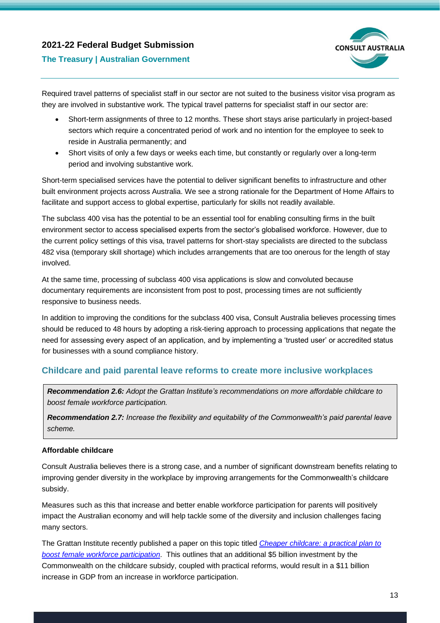

#### **The Treasury | Australian Government**

Required travel patterns of specialist staff in our sector are not suited to the business visitor visa program as they are involved in substantive work. The typical travel patterns for specialist staff in our sector are:

- Short-term assignments of three to 12 months. These short stays arise particularly in project-based sectors which require a concentrated period of work and no intention for the employee to seek to reside in Australia permanently; and
- Short visits of only a few days or weeks each time, but constantly or regularly over a long-term period and involving substantive work.

Short-term specialised services have the potential to deliver significant benefits to infrastructure and other built environment projects across Australia. We see a strong rationale for the Department of Home Affairs to facilitate and support access to global expertise, particularly for skills not readily available.

The subclass 400 visa has the potential to be an essential tool for enabling consulting firms in the built environment sector to access specialised experts from the sector's globalised workforce. However, due to the current policy settings of this visa, travel patterns for short-stay specialists are directed to the subclass 482 visa (temporary skill shortage) which includes arrangements that are too onerous for the length of stay involved.

At the same time, processing of subclass 400 visa applications is slow and convoluted because documentary requirements are inconsistent from post to post, processing times are not sufficiently responsive to business needs.

In addition to improving the conditions for the subclass 400 visa, Consult Australia believes processing times should be reduced to 48 hours by adopting a risk-tiering approach to processing applications that negate the need for assessing every aspect of an application, and by implementing a 'trusted user' or accredited status for businesses with a sound compliance history.

### <span id="page-12-0"></span>**Childcare and paid parental leave reforms to create more inclusive workplaces**

*Recommendation 2.6: Adopt the Grattan Institute's recommendations on more affordable childcare to boost female workforce participation.*

*Recommendation 2.7: Increase the flexibility and equitability of the Commonwealth's paid parental leave scheme.* 

#### **Affordable childcare**

Consult Australia believes there is a strong case, and a number of significant downstream benefits relating to improving gender diversity in the workplace by improving arrangements for the Commonwealth's childcare subsidy.

Measures such as this that increase and better enable workforce participation for parents will positively impact the Australian economy and will help tackle some of the diversity and inclusion challenges facing many sectors.

The Grattan Institute recently published a paper on this topic titled *[Cheaper childcare: a practical plan to](https://grattan.edu.au/wp-content/uploads/2020/08/Cheaper-Childcare-Grattan-Institute-Report.pdf)  [boost female workforce participation](https://grattan.edu.au/wp-content/uploads/2020/08/Cheaper-Childcare-Grattan-Institute-Report.pdf)*. This outlines that an additional \$5 billion investment by the Commonwealth on the childcare subsidy, coupled with practical reforms, would result in a \$11 billion increase in GDP from an increase in workforce participation.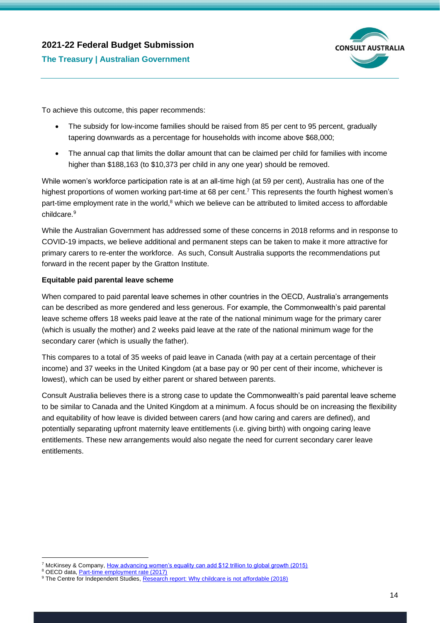# **2021-22 Federal Budget Submission The Treasury | Australian Government**



To achieve this outcome, this paper recommends:

- The subsidy for low-income families should be raised from 85 per cent to 95 percent, gradually tapering downwards as a percentage for households with income above \$68,000;
- The annual cap that limits the dollar amount that can be claimed per child for families with income higher than \$188,163 (to \$10,373 per child in any one year) should be removed.

While women's workforce participation rate is at an all-time high (at 59 per cent), Australia has one of the highest proportions of women working part-time at 68 per cent.<sup>7</sup> This represents the fourth highest women's part-time employment rate in the world,<sup>8</sup> which we believe can be attributed to limited access to affordable childcare.<sup>9</sup>

While the Australian Government has addressed some of these concerns in 2018 reforms and in response to COVID-19 impacts, we believe additional and permanent steps can be taken to make it more attractive for primary carers to re-enter the workforce. As such, Consult Australia supports the recommendations put forward in the recent paper by the Gratton Institute.

#### **Equitable paid parental leave scheme**

When compared to paid parental leave schemes in other countries in the OECD, Australia's arrangements can be described as more gendered and less generous. For example, the Commonwealth's paid parental leave scheme offers 18 weeks paid leave at the rate of the national minimum wage for the primary carer (which is usually the mother) and 2 weeks paid leave at the rate of the national minimum wage for the secondary carer (which is usually the father).

This compares to a total of 35 weeks of paid leave in Canada (with pay at a certain percentage of their income) and 37 weeks in the United Kingdom (at a base pay or 90 per cent of their income, whichever is lowest), which can be used by either parent or shared between parents.

Consult Australia believes there is a strong case to update the Commonwealth's paid parental leave scheme to be similar to Canada and the United Kingdom at a minimum. A focus should be on increasing the flexibility and equitability of how leave is divided between carers (and how caring and carers are defined), and potentially separating upfront maternity leave entitlements (i.e. giving birth) with ongoing caring leave entitlements. These new arrangements would also negate the need for current secondary carer leave entitlements.

<sup>&</sup>lt;sup>7</sup> McKinsey & Company, [How advancing women's equality can add \\$12 trillion to global growth \(2015\)](https://www.mckinsey.com/featured-insights/employment-and-growth/how-advancing-womens-equality-can-add-12-trillion-to-global-growth)

<sup>&</sup>lt;sup>8</sup> OECD data, **Part-time employment rate (2017)** 

<sup>&</sup>lt;sup>9</sup> The Centre for Independent Studies, [Research report: Why childcare is not affordable \(2018\)](https://www.cis.org.au/app/uploads/2018/08/rr37-snapshot.pdf?)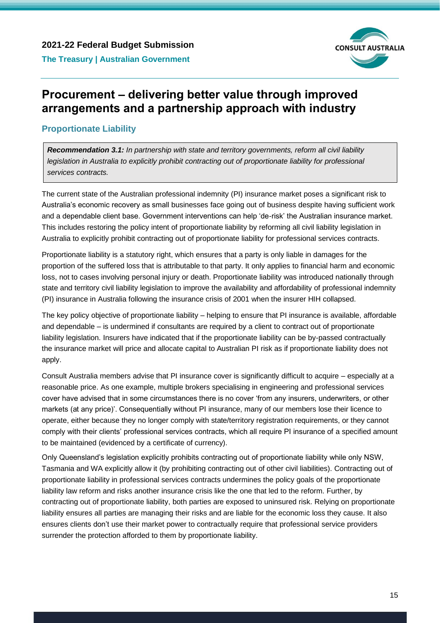

# <span id="page-14-0"></span>**Procurement – delivering better value through improved arrangements and a partnership approach with industry**

## <span id="page-14-1"></span>**Proportionate Liability**

*Recommendation 3.1: In partnership with state and territory governments, reform all civil liability legislation in Australia to explicitly prohibit contracting out of proportionate liability for professional services contracts.*

The current state of the Australian professional indemnity (PI) insurance market poses a significant risk to Australia's economic recovery as small businesses face going out of business despite having sufficient work and a dependable client base. Government interventions can help 'de-risk' the Australian insurance market. This includes restoring the policy intent of proportionate liability by reforming all civil liability legislation in Australia to explicitly prohibit contracting out of proportionate liability for professional services contracts.

Proportionate liability is a statutory right, which ensures that a party is only liable in damages for the proportion of the suffered loss that is attributable to that party. It only applies to financial harm and economic loss, not to cases involving personal injury or death. Proportionate liability was introduced nationally through state and territory civil liability legislation to improve the availability and affordability of professional indemnity (PI) insurance in Australia following the insurance crisis of 2001 when the insurer HIH collapsed.

The key policy objective of proportionate liability – helping to ensure that PI insurance is available, affordable and dependable – is undermined if consultants are required by a client to contract out of proportionate liability legislation. Insurers have indicated that if the proportionate liability can be by-passed contractually the insurance market will price and allocate capital to Australian PI risk as if proportionate liability does not apply.

Consult Australia members advise that PI insurance cover is significantly difficult to acquire – especially at a reasonable price. As one example, multiple brokers specialising in engineering and professional services cover have advised that in some circumstances there is no cover 'from any insurers, underwriters, or other markets (at any price)'. Consequentially without PI insurance, many of our members lose their licence to operate, either because they no longer comply with state/territory registration requirements, or they cannot comply with their clients' professional services contracts, which all require PI insurance of a specified amount to be maintained (evidenced by a certificate of currency).

Only Queensland's legislation explicitly prohibits contracting out of proportionate liability while only NSW, Tasmania and WA explicitly allow it (by prohibiting contracting out of other civil liabilities). Contracting out of proportionate liability in professional services contracts undermines the policy goals of the proportionate liability law reform and risks another insurance crisis like the one that led to the reform. Further, by contracting out of proportionate liability, both parties are exposed to uninsured risk. Relying on proportionate liability ensures all parties are managing their risks and are liable for the economic loss they cause. It also ensures clients don't use their market power to contractually require that professional service providers surrender the protection afforded to them by proportionate liability.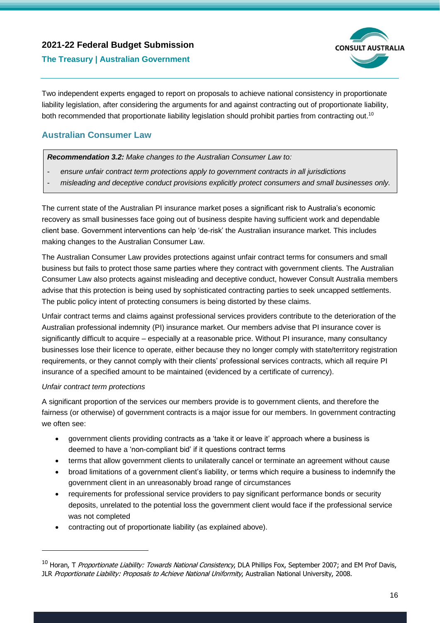

#### **The Treasury | Australian Government**

Two independent experts engaged to report on proposals to achieve national consistency in proportionate liability legislation, after considering the arguments for and against contracting out of proportionate liability, both recommended that proportionate liability legislation should prohibit parties from contracting out.<sup>10</sup>

### <span id="page-15-0"></span>**Australian Consumer Law**

*Recommendation 3.2: Make changes to the Australian Consumer Law to:*

- *ensure unfair contract term protections apply to government contracts in all jurisdictions*
- *misleading and deceptive conduct provisions explicitly protect consumers and small businesses only.*

The current state of the Australian PI insurance market poses a significant risk to Australia's economic recovery as small businesses face going out of business despite having sufficient work and dependable client base. Government interventions can help 'de-risk' the Australian insurance market. This includes making changes to the Australian Consumer Law.

The Australian Consumer Law provides protections against unfair contract terms for consumers and small business but fails to protect those same parties where they contract with government clients. The Australian Consumer Law also protects against misleading and deceptive conduct, however Consult Australia members advise that this protection is being used by sophisticated contracting parties to seek uncapped settlements. The public policy intent of protecting consumers is being distorted by these claims.

Unfair contract terms and claims against professional services providers contribute to the deterioration of the Australian professional indemnity (PI) insurance market. Our members advise that PI insurance cover is significantly difficult to acquire – especially at a reasonable price. Without PI insurance, many consultancy businesses lose their licence to operate, either because they no longer comply with state/territory registration requirements, or they cannot comply with their clients' professional services contracts, which all require PI insurance of a specified amount to be maintained (evidenced by a certificate of currency).

#### *Unfair contract term protections*

A significant proportion of the services our members provide is to government clients, and therefore the fairness (or otherwise) of government contracts is a major issue for our members. In government contracting we often see:

- government clients providing contracts as a 'take it or leave it' approach where a business is deemed to have a 'non-compliant bid' if it questions contract terms
- terms that allow government clients to unilaterally cancel or terminate an agreement without cause
- broad limitations of a government client's liability, or terms which require a business to indemnify the government client in an unreasonably broad range of circumstances
- requirements for professional service providers to pay significant performance bonds or security deposits, unrelated to the potential loss the government client would face if the professional service was not completed
- contracting out of proportionate liability (as explained above).

<sup>&</sup>lt;sup>10</sup> Horan, T Proportionate Liability: Towards National Consistency, DLA Phillips Fox, September 2007; and EM Prof Davis, JLR Proportionate Liability: Proposals to Achieve National Uniformity, Australian National University, 2008.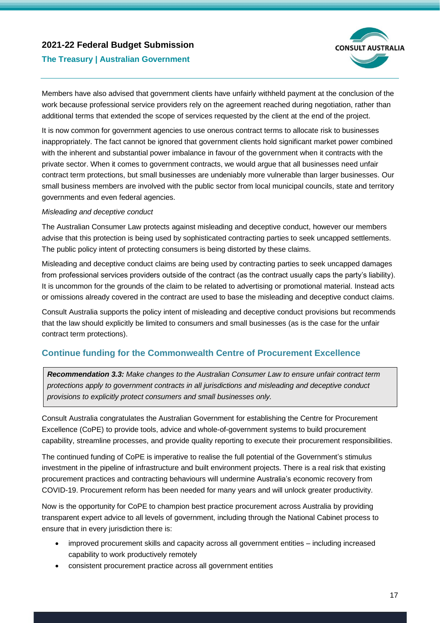

#### **The Treasury | Australian Government**

Members have also advised that government clients have unfairly withheld payment at the conclusion of the work because professional service providers rely on the agreement reached during negotiation, rather than additional terms that extended the scope of services requested by the client at the end of the project.

It is now common for government agencies to use onerous contract terms to allocate risk to businesses inappropriately. The fact cannot be ignored that government clients hold significant market power combined with the inherent and substantial power imbalance in favour of the government when it contracts with the private sector. When it comes to government contracts, we would argue that all businesses need unfair contract term protections, but small businesses are undeniably more vulnerable than larger businesses. Our small business members are involved with the public sector from local municipal councils, state and territory governments and even federal agencies.

#### *Misleading and deceptive conduct*

The Australian Consumer Law protects against misleading and deceptive conduct, however our members advise that this protection is being used by sophisticated contracting parties to seek uncapped settlements. The public policy intent of protecting consumers is being distorted by these claims.

Misleading and deceptive conduct claims are being used by contracting parties to seek uncapped damages from professional services providers outside of the contract (as the contract usually caps the party's liability). It is uncommon for the grounds of the claim to be related to advertising or promotional material. Instead acts or omissions already covered in the contract are used to base the misleading and deceptive conduct claims.

Consult Australia supports the policy intent of misleading and deceptive conduct provisions but recommends that the law should explicitly be limited to consumers and small businesses (as is the case for the unfair contract term protections).

### <span id="page-16-0"></span>**Continue funding for the Commonwealth Centre of Procurement Excellence**

*Recommendation 3.3: Make changes to the Australian Consumer Law to ensure unfair contract term protections apply to government contracts in all jurisdictions and misleading and deceptive conduct provisions to explicitly protect consumers and small businesses only.*

Consult Australia congratulates the Australian Government for establishing the Centre for Procurement Excellence (CoPE) to provide tools, advice and whole-of-government systems to build procurement capability, streamline processes, and provide quality reporting to execute their procurement responsibilities.

The continued funding of CoPE is imperative to realise the full potential of the Government's stimulus investment in the pipeline of infrastructure and built environment projects. There is a real risk that existing procurement practices and contracting behaviours will undermine Australia's economic recovery from COVID-19. Procurement reform has been needed for many years and will unlock greater productivity.

Now is the opportunity for CoPE to champion best practice procurement across Australia by providing transparent expert advice to all levels of government, including through the National Cabinet process to ensure that in every jurisdiction there is:

- improved procurement skills and capacity across all government entities including increased capability to work productively remotely
- consistent procurement practice across all government entities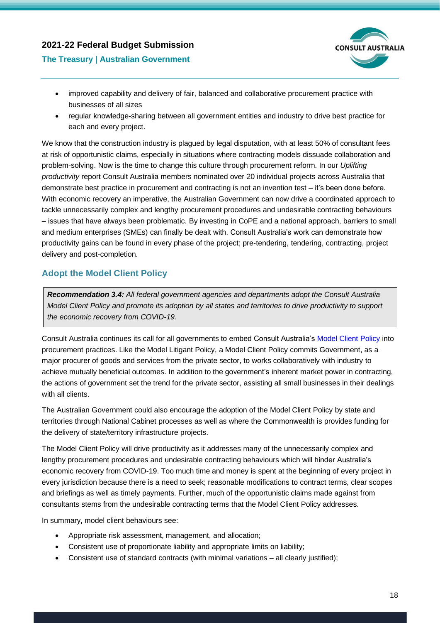

#### **The Treasury | Australian Government**

- improved capability and delivery of fair, balanced and collaborative procurement practice with businesses of all sizes
- regular knowledge-sharing between all government entities and industry to drive best practice for each and every project.

We know that the construction industry is plagued by legal disputation, with at least 50% of consultant fees at risk of opportunistic claims, especially in situations where contracting models dissuade collaboration and problem-solving. Now is the time to change this culture through procurement reform. In our *Uplifting productivity* report Consult Australia members nominated over 20 individual projects across Australia that demonstrate best practice in procurement and contracting is not an invention test – it's been done before. With economic recovery an imperative, the Australian Government can now drive a coordinated approach to tackle unnecessarily complex and lengthy procurement procedures and undesirable contracting behaviours – issues that have always been problematic. By investing in CoPE and a national approach, barriers to small and medium enterprises (SMEs) can finally be dealt with. Consult Australia's work can demonstrate how productivity gains can be found in every phase of the project; pre-tendering, tendering, contracting, project delivery and post-completion.

## <span id="page-17-0"></span>**Adopt the Model Client Policy**

*Recommendation 3.4: All federal government agencies and departments adopt the Consult Australia Model Client Policy and promote its adoption by all states and territories to drive productivity to support the economic recovery from COVID-19.*

Consult Australia continues its call for all governments to embed Consult Australia's [Model Client Policy](https://www.consultaustralia.com.au/docs/default-source/policy/model-client-policy-web.pdf?sfvrsn=4) into procurement practices. Like the Model Litigant Policy, a Model Client Policy commits Government, as a major procurer of goods and services from the private sector, to works collaboratively with industry to achieve mutually beneficial outcomes. In addition to the government's inherent market power in contracting, the actions of government set the trend for the private sector, assisting all small businesses in their dealings with all clients.

The Australian Government could also encourage the adoption of the Model Client Policy by state and territories through National Cabinet processes as well as where the Commonwealth is provides funding for the delivery of state/territory infrastructure projects.

The Model Client Policy will drive productivity as it addresses many of the unnecessarily complex and lengthy procurement procedures and undesirable contracting behaviours which will hinder Australia's economic recovery from COVID-19. Too much time and money is spent at the beginning of every project in every jurisdiction because there is a need to seek; reasonable modifications to contract terms, clear scopes and briefings as well as timely payments. Further, much of the opportunistic claims made against from consultants stems from the undesirable contracting terms that the Model Client Policy addresses.

In summary, model client behaviours see:

- Appropriate risk assessment, management, and allocation;
- Consistent use of proportionate liability and appropriate limits on liability;
- Consistent use of standard contracts (with minimal variations all clearly justified);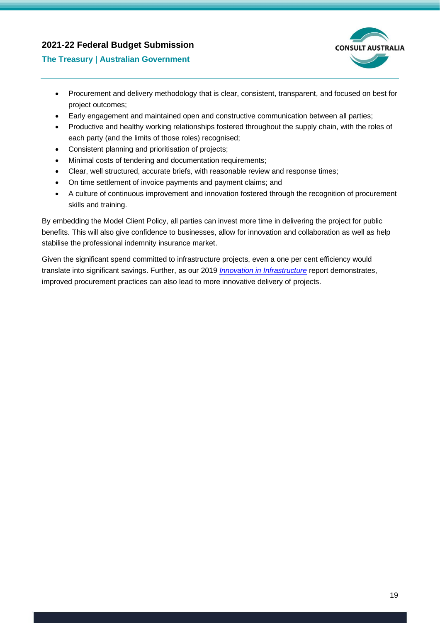

#### **The Treasury | Australian Government**

- Procurement and delivery methodology that is clear, consistent, transparent, and focused on best for project outcomes;
- Early engagement and maintained open and constructive communication between all parties;
- Productive and healthy working relationships fostered throughout the supply chain, with the roles of each party (and the limits of those roles) recognised;
- Consistent planning and prioritisation of projects;
- Minimal costs of tendering and documentation requirements;
- Clear, well structured, accurate briefs, with reasonable review and response times;
- On time settlement of invoice payments and payment claims; and
- A culture of continuous improvement and innovation fostered through the recognition of procurement skills and training.

By embedding the Model Client Policy, all parties can invest more time in delivering the project for public benefits. This will also give confidence to businesses, allow for innovation and collaboration as well as help stabilise the professional indemnity insurance market.

Given the significant spend committed to infrastructure projects, even a one per cent efficiency would translate into significant savings. Further, as our 2019 *[Innovation in Infrastructure](http://www.consultaustralia.com.au/docs/default-source/policy/consult-australia-innovation-in-infrastructure-report.pdf?sfvrsn=2)* report demonstrates, improved procurement practices can also lead to more innovative delivery of projects.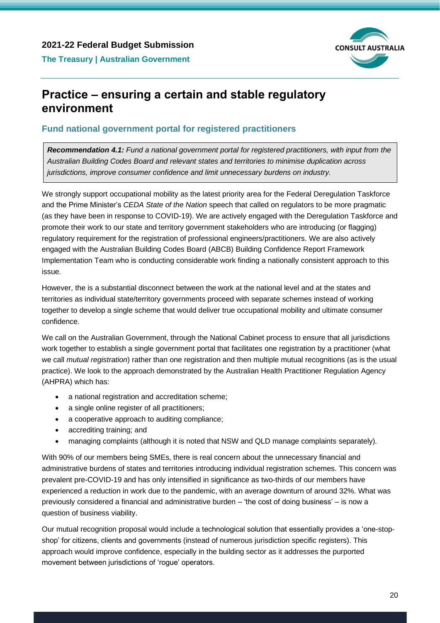

# <span id="page-19-0"></span>**Practice – ensuring a certain and stable regulatory environment**

# <span id="page-19-1"></span>**Fund national government portal for registered practitioners**

*Recommendation 4.1: Fund a national government portal for registered practitioners, with input from the Australian Building Codes Board and relevant states and territories to minimise duplication across jurisdictions, improve consumer confidence and limit unnecessary burdens on industry.*

We strongly support occupational mobility as the latest priority area for the Federal Deregulation Taskforce and the Prime Minister's *CEDA State of the Nation* speech that called on regulators to be more pragmatic (as they have been in response to COVID-19). We are actively engaged with the Deregulation Taskforce and promote their work to our state and territory government stakeholders who are introducing (or flagging) regulatory requirement for the registration of professional engineers/practitioners. We are also actively engaged with the Australian Building Codes Board (ABCB) Building Confidence Report Framework Implementation Team who is conducting considerable work finding a nationally consistent approach to this issue.

However, the is a substantial disconnect between the work at the national level and at the states and territories as individual state/territory governments proceed with separate schemes instead of working together to develop a single scheme that would deliver true occupational mobility and ultimate consumer confidence.

We call on the Australian Government, through the National Cabinet process to ensure that all jurisdictions work together to establish a single government portal that facilitates one registration by a practitioner (what we call *mutual registration*) rather than one registration and then multiple mutual recognitions (as is the usual practice). We look to the approach demonstrated by the Australian Health Practitioner Regulation Agency (AHPRA) which has:

- a national registration and accreditation scheme;
- a single online register of all practitioners;
- a cooperative approach to auditing compliance;
- accrediting training; and
- managing complaints (although it is noted that NSW and QLD manage complaints separately).

With 90% of our members being SMEs, there is real concern about the unnecessary financial and administrative burdens of states and territories introducing individual registration schemes. This concern was prevalent pre-COVID-19 and has only intensified in significance as two-thirds of our members have experienced a reduction in work due to the pandemic, with an average downturn of around 32%. What was previously considered a financial and administrative burden – 'the cost of doing business' – is now a question of business viability.

Our mutual recognition proposal would include a technological solution that essentially provides a 'one-stopshop' for citizens, clients and governments (instead of numerous jurisdiction specific registers). This approach would improve confidence, especially in the building sector as it addresses the purported movement between jurisdictions of 'rogue' operators.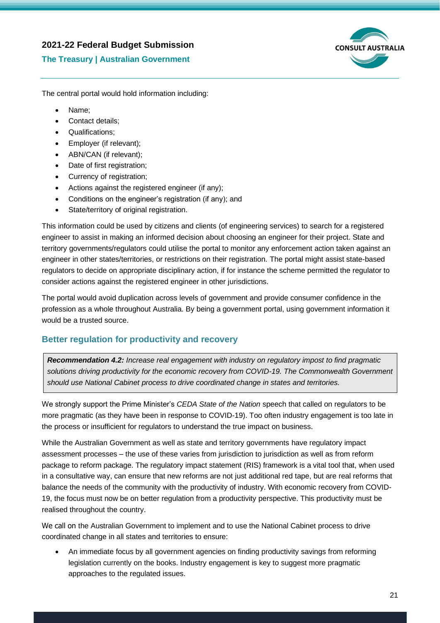#### **The Treasury | Australian Government**



The central portal would hold information including:

- Name;
- Contact details;
- Qualifications;
- Employer (if relevant);
- ABN/CAN (if relevant);
- Date of first registration;
- Currency of registration;
- Actions against the registered engineer (if any);
- Conditions on the engineer's registration (if any); and
- State/territory of original registration.

This information could be used by citizens and clients (of engineering services) to search for a registered engineer to assist in making an informed decision about choosing an engineer for their project. State and territory governments/regulators could utilise the portal to monitor any enforcement action taken against an engineer in other states/territories, or restrictions on their registration. The portal might assist state-based regulators to decide on appropriate disciplinary action, if for instance the scheme permitted the regulator to consider actions against the registered engineer in other jurisdictions.

The portal would avoid duplication across levels of government and provide consumer confidence in the profession as a whole throughout Australia. By being a government portal, using government information it would be a trusted source.

### <span id="page-20-0"></span>**Better regulation for productivity and recovery**

*Recommendation 4.2: Increase real engagement with industry on regulatory impost to find pragmatic solutions driving productivity for the economic recovery from COVID-19. The Commonwealth Government should use National Cabinet process to drive coordinated change in states and territories.*

We strongly support the Prime Minister's *CEDA State of the Nation* speech that called on regulators to be more pragmatic (as they have been in response to COVID-19). Too often industry engagement is too late in the process or insufficient for regulators to understand the true impact on business.

While the Australian Government as well as state and territory governments have regulatory impact assessment processes – the use of these varies from jurisdiction to jurisdiction as well as from reform package to reform package. The regulatory impact statement (RIS) framework is a vital tool that, when used in a consultative way, can ensure that new reforms are not just additional red tape, but are real reforms that balance the needs of the community with the productivity of industry. With economic recovery from COVID-19, the focus must now be on better regulation from a productivity perspective. This productivity must be realised throughout the country.

We call on the Australian Government to implement and to use the National Cabinet process to drive coordinated change in all states and territories to ensure:

• An immediate focus by all government agencies on finding productivity savings from reforming legislation currently on the books. Industry engagement is key to suggest more pragmatic approaches to the regulated issues.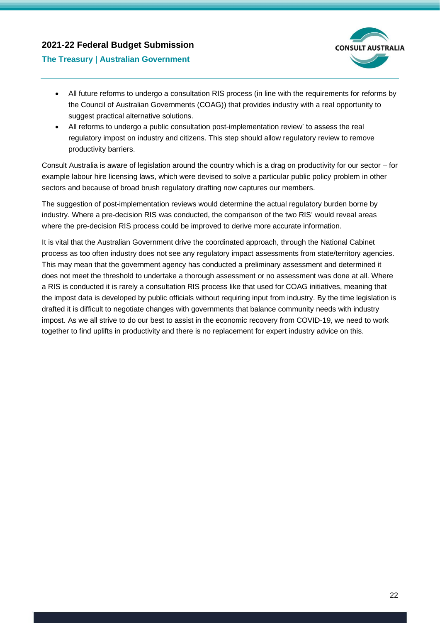

#### **The Treasury | Australian Government**

- All future reforms to undergo a consultation RIS process (in line with the requirements for reforms by the Council of Australian Governments (COAG)) that provides industry with a real opportunity to suggest practical alternative solutions.
- All reforms to undergo a public consultation post-implementation review' to assess the real regulatory impost on industry and citizens. This step should allow regulatory review to remove productivity barriers.

Consult Australia is aware of legislation around the country which is a drag on productivity for our sector – for example labour hire licensing laws, which were devised to solve a particular public policy problem in other sectors and because of broad brush regulatory drafting now captures our members.

The suggestion of post-implementation reviews would determine the actual regulatory burden borne by industry. Where a pre-decision RIS was conducted, the comparison of the two RIS' would reveal areas where the pre-decision RIS process could be improved to derive more accurate information.

It is vital that the Australian Government drive the coordinated approach, through the National Cabinet process as too often industry does not see any regulatory impact assessments from state/territory agencies. This may mean that the government agency has conducted a preliminary assessment and determined it does not meet the threshold to undertake a thorough assessment or no assessment was done at all. Where a RIS is conducted it is rarely a consultation RIS process like that used for COAG initiatives, meaning that the impost data is developed by public officials without requiring input from industry. By the time legislation is drafted it is difficult to negotiate changes with governments that balance community needs with industry impost. As we all strive to do our best to assist in the economic recovery from COVID-19, we need to work together to find uplifts in productivity and there is no replacement for expert industry advice on this.